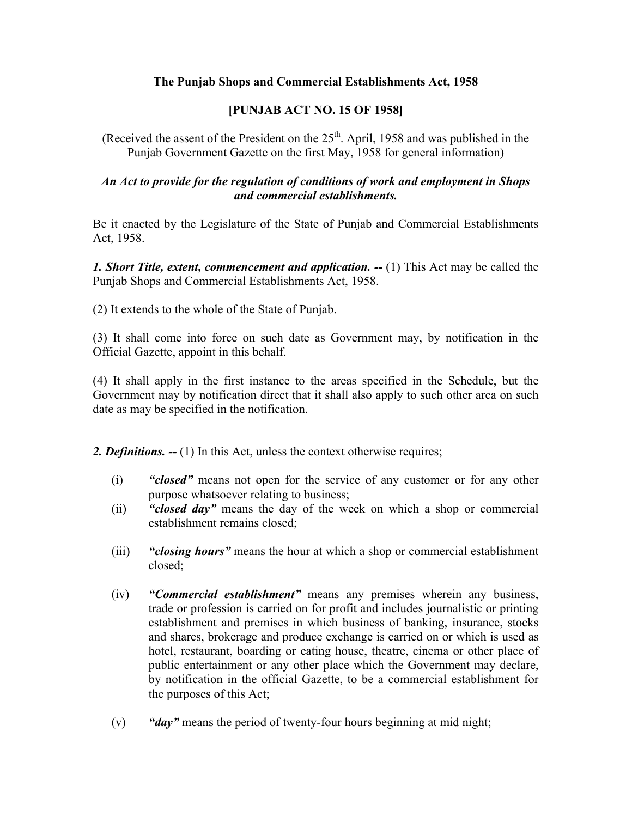# **The Punjab Shops and Commercial Establishments Act, 1958**

# **[PUNJAB ACT NO. 15 OF 1958]**

(Received the assent of the President on the  $25<sup>th</sup>$ . April, 1958 and was published in the Punjab Government Gazette on the first May, 1958 for general information)

# *An Act to provide for the regulation of conditions of work and employment in Shops and commercial establishments.*

Be it enacted by the Legislature of the State of Punjab and Commercial Establishments Act, 1958.

*1. Short Title, extent, commencement and application. -- (1)* **This Act may be called the** Punjab Shops and Commercial Establishments Act, 1958.

(2) It extends to the whole of the State of Punjab.

(3) It shall come into force on such date as Government may, by notification in the Official Gazette, appoint in this behalf.

(4) It shall apply in the first instance to the areas specified in the Schedule, but the Government may by notification direct that it shall also apply to such other area on such date as may be specified in the notification.

*2. Definitions. --* (1) In this Act, unless the context otherwise requires;

- (i) *"closed"* means not open for the service of any customer or for any other purpose whatsoever relating to business;
- (ii) *"closed day"* means the day of the week on which a shop or commercial establishment remains closed;
- (iii) *"closing hours"* means the hour at which a shop or commercial establishment closed;
- (iv) *"Commercial establishment"* means any premises wherein any business, trade or profession is carried on for profit and includes journalistic or printing establishment and premises in which business of banking, insurance, stocks and shares, brokerage and produce exchange is carried on or which is used as hotel, restaurant, boarding or eating house, theatre, cinema or other place of public entertainment or any other place which the Government may declare, by notification in the official Gazette, to be a commercial establishment for the purposes of this Act;
- (v) *"day"* means the period of twenty-four hours beginning at mid night;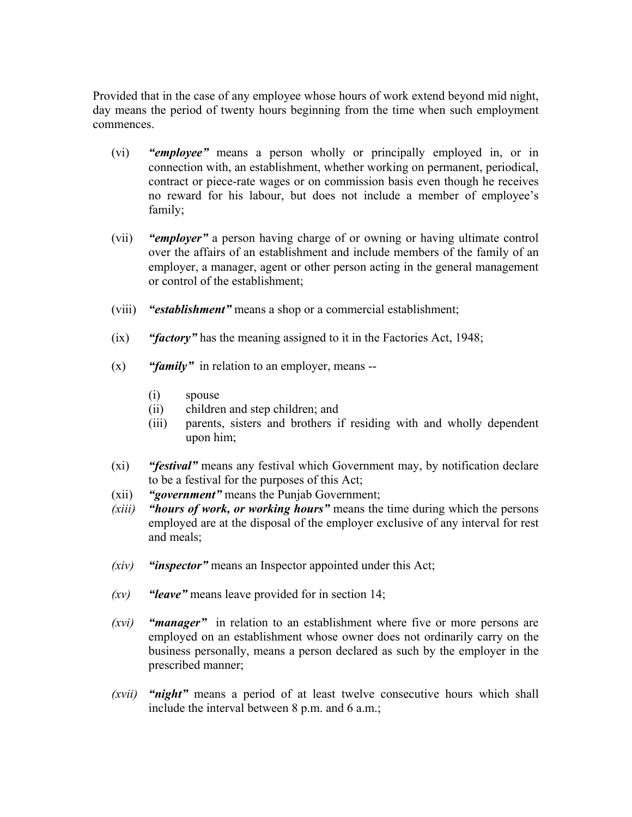Provided that in the case of any employee whose hours of work extend beyond mid night, day means the period of twenty hours beginning from the time when such employment commences.

- (vi) *"employee"* means a person wholly or principally employed in, or in connection with, an establishment, whether working on permanent, periodical, contract or piece-rate wages or on commission basis even though he receives no reward for his labour, but does not include a member of employee's family;
- (vii) *"employer"* a person having charge of or owning or having ultimate control over the affairs of an establishment and include members of the family of an employer, a manager, agent or other person acting in the general management or control of the establishment;
- (viii) *"establishment"* means a shop or a commercial establishment;
- (ix) *"factory"* has the meaning assigned to it in the Factories Act, 1948;
- (x) *"family"* in relation to an employer, means --
	- (i) spouse
	- (ii) children and step children; and
	- (iii) parents, sisters and brothers if residing with and wholly dependent upon him;
- (xi) *"festival"* means any festival which Government may, by notification declare to be a festival for the purposes of this Act;
- (xii) *"government"* means the Punjab Government;
- *(xiii) "hours of work, or working hours"* means the time during which the persons employed are at the disposal of the employer exclusive of any interval for rest and meals;
- *(xiv) "inspector"* means an Inspector appointed under this Act;
- *(xv) "leave"* means leave provided for in section 14;
- *(xvi) "manager"* in relation to an establishment where five or more persons are employed on an establishment whose owner does not ordinarily carry on the business personally, means a person declared as such by the employer in the prescribed manner;
- *(xvii) "night"* means a period of at least twelve consecutive hours which shall include the interval between 8 p.m. and 6 a.m.;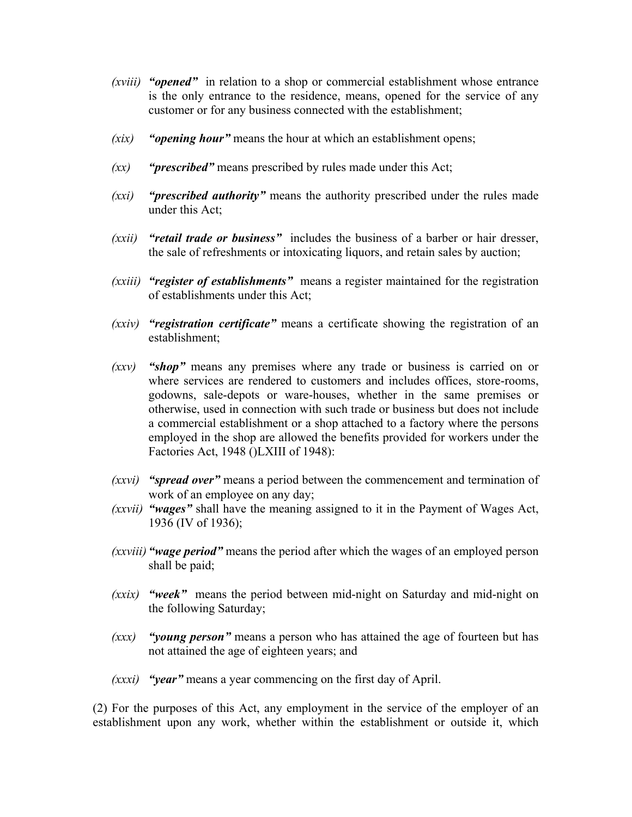- *(xviii) "opened"* in relation to a shop or commercial establishment whose entrance is the only entrance to the residence, means, opened for the service of any customer or for any business connected with the establishment;
- *(xix) "opening hour"* means the hour at which an establishment opens;
- *(xx) "prescribed"* means prescribed by rules made under this Act;
- *(xxi) "prescribed authority"* means the authority prescribed under the rules made under this Act;
- *(xxii) "retail trade or business"* includes the business of a barber or hair dresser, the sale of refreshments or intoxicating liquors, and retain sales by auction;
- *(xxiii) "register of establishments"* means a register maintained for the registration of establishments under this Act;
- *(xxiv) "registration certificate"* means a certificate showing the registration of an establishment;
- *(xxv) "shop"* means any premises where any trade or business is carried on or where services are rendered to customers and includes offices, store-rooms, godowns, sale-depots or ware-houses, whether in the same premises or otherwise, used in connection with such trade or business but does not include a commercial establishment or a shop attached to a factory where the persons employed in the shop are allowed the benefits provided for workers under the Factories Act, 1948 ()LXIII of 1948):
- *(xxvi) "spread over"* means a period between the commencement and termination of work of an employee on any day;
- *(xxvii) "wages"* shall have the meaning assigned to it in the Payment of Wages Act, 1936 (IV of 1936);
- *(xxviii) "wage period"* means the period after which the wages of an employed person shall be paid;
- *(xxix) "week"* means the period between mid-night on Saturday and mid-night on the following Saturday;
- *(xxx) "young person"* means a person who has attained the age of fourteen but has not attained the age of eighteen years; and
- *(xxxi) "year"* means a year commencing on the first day of April.

(2) For the purposes of this Act, any employment in the service of the employer of an establishment upon any work, whether within the establishment or outside it, which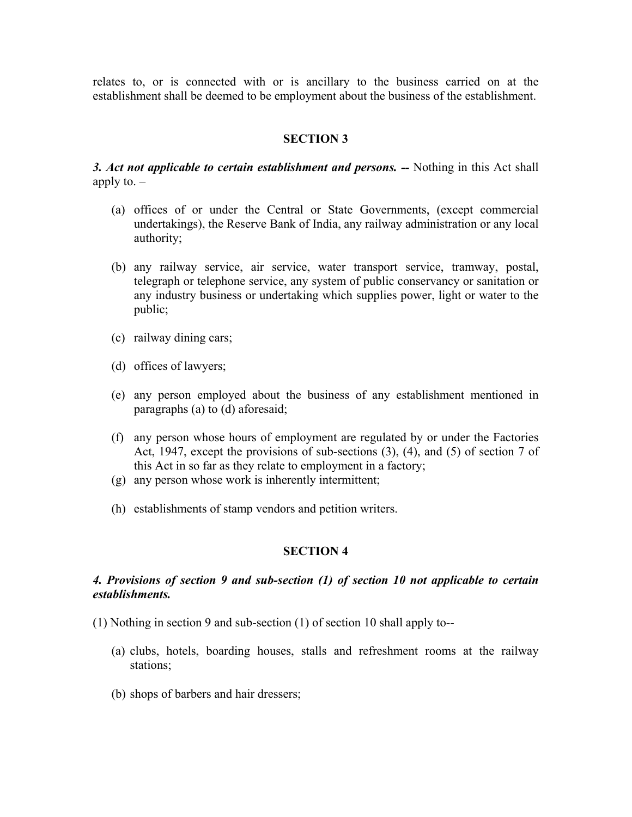relates to, or is connected with or is ancillary to the business carried on at the establishment shall be deemed to be employment about the business of the establishment.

## **SECTION 3**

*3. Act not applicable to certain establishment and persons. --* Nothing in this Act shall apply to.  $-$ 

- (a) offices of or under the Central or State Governments, (except commercial undertakings), the Reserve Bank of India, any railway administration or any local authority;
- (b) any railway service, air service, water transport service, tramway, postal, telegraph or telephone service, any system of public conservancy or sanitation or any industry business or undertaking which supplies power, light or water to the public;
- (c) railway dining cars;
- (d) offices of lawyers;
- (e) any person employed about the business of any establishment mentioned in paragraphs (a) to (d) aforesaid;
- (f) any person whose hours of employment are regulated by or under the Factories Act, 1947, except the provisions of sub-sections (3), (4), and (5) of section 7 of this Act in so far as they relate to employment in a factory;
- (g) any person whose work is inherently intermittent;
- (h) establishments of stamp vendors and petition writers.

#### **SECTION 4**

## *4. Provisions of section 9 and sub-section (1) of section 10 not applicable to certain establishments.*

- (1) Nothing in section 9 and sub-section (1) of section 10 shall apply to--
	- (a) clubs, hotels, boarding houses, stalls and refreshment rooms at the railway stations;
	- (b) shops of barbers and hair dressers;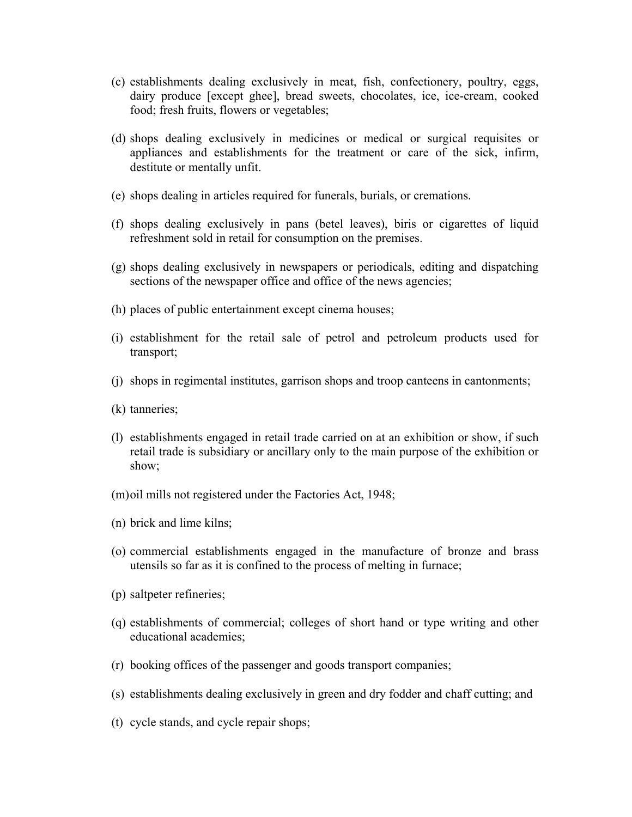- (c) establishments dealing exclusively in meat, fish, confectionery, poultry, eggs, dairy produce [except ghee], bread sweets, chocolates, ice, ice-cream, cooked food; fresh fruits, flowers or vegetables;
- (d) shops dealing exclusively in medicines or medical or surgical requisites or appliances and establishments for the treatment or care of the sick, infirm, destitute or mentally unfit.
- (e) shops dealing in articles required for funerals, burials, or cremations.
- (f) shops dealing exclusively in pans (betel leaves), biris or cigarettes of liquid refreshment sold in retail for consumption on the premises.
- (g) shops dealing exclusively in newspapers or periodicals, editing and dispatching sections of the newspaper office and office of the news agencies;
- (h) places of public entertainment except cinema houses;
- (i) establishment for the retail sale of petrol and petroleum products used for transport;
- (j) shops in regimental institutes, garrison shops and troop canteens in cantonments;
- (k) tanneries;
- (l) establishments engaged in retail trade carried on at an exhibition or show, if such retail trade is subsidiary or ancillary only to the main purpose of the exhibition or show;
- (m) oil mills not registered under the Factories Act, 1948;
- (n) brick and lime kilns;
- (o) commercial establishments engaged in the manufacture of bronze and brass utensils so far as it is confined to the process of melting in furnace;
- (p) saltpeter refineries;
- (q) establishments of commercial; colleges of short hand or type writing and other educational academies;
- (r) booking offices of the passenger and goods transport companies;
- (s) establishments dealing exclusively in green and dry fodder and chaff cutting; and
- (t) cycle stands, and cycle repair shops;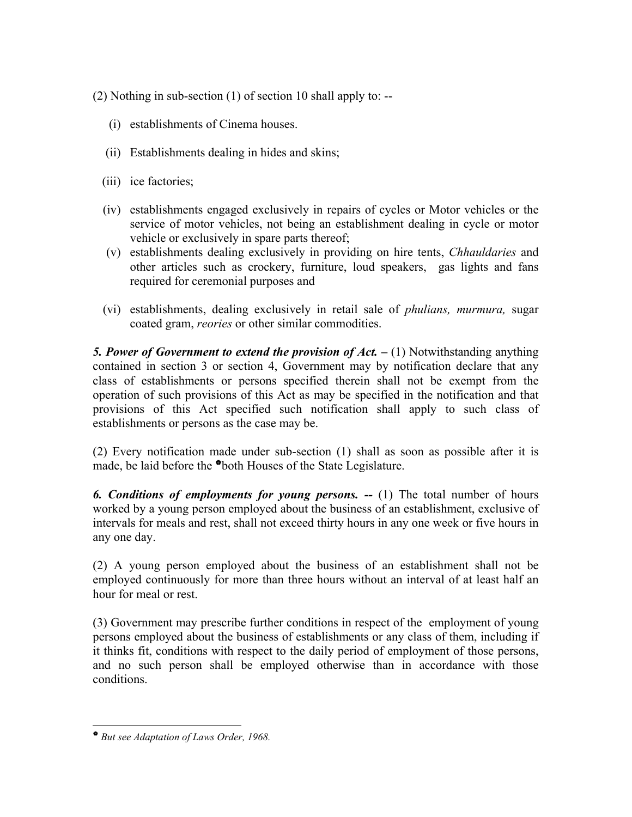(2) Nothing in sub-section (1) of section 10 shall apply to: --

- (i) establishments of Cinema houses.
- (ii) Establishments dealing in hides and skins;
- (iii) ice factories;
- (iv) establishments engaged exclusively in repairs of cycles or Motor vehicles or the service of motor vehicles, not being an establishment dealing in cycle or motor vehicle or exclusively in spare parts thereof;
- (v) establishments dealing exclusively in providing on hire tents, *Chhauldaries* and other articles such as crockery, furniture, loud speakers, gas lights and fans required for ceremonial purposes and
- (vi) establishments, dealing exclusively in retail sale of *phulians, murmura,* sugar coated gram, *reories* or other similar commodities.

**5. Power of Government to extend the provision of Act.**  $- (1)$  Notwithstanding anything contained in section 3 or section 4, Government may by notification declare that any class of establishments or persons specified therein shall not be exempt from the operation of such provisions of this Act as may be specified in the notification and that provisions of this Act specified such notification shall apply to such class of establishments or persons as the case may be.

(2) Every notification made under sub-section (1) shall as soon as possible after it is made, be laid before the \*both Houses of the State Legislature.

*6. Conditions of employments for young persons. --* (1) The total number of hours worked by a young person employed about the business of an establishment, exclusive of intervals for meals and rest, shall not exceed thirty hours in any one week or five hours in any one day.

(2) A young person employed about the business of an establishment shall not be employed continuously for more than three hours without an interval of at least half an hour for meal or rest.

(3) Government may prescribe further conditions in respect of the employment of young persons employed about the business of establishments or any class of them, including if it thinks fit, conditions with respect to the daily period of employment of those persons, and no such person shall be employed otherwise than in accordance with those conditions.

 $\overline{a}$ 

<sup>V</sup> *But see Adaptation of Laws Order, 1968.*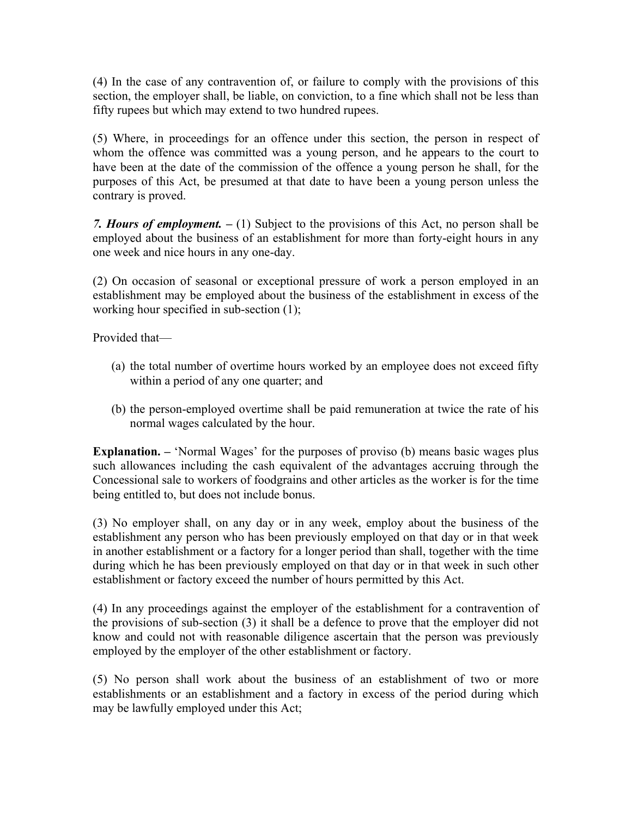(4) In the case of any contravention of, or failure to comply with the provisions of this section, the employer shall, be liable, on conviction, to a fine which shall not be less than fifty rupees but which may extend to two hundred rupees.

(5) Where, in proceedings for an offence under this section, the person in respect of whom the offence was committed was a young person, and he appears to the court to have been at the date of the commission of the offence a young person he shall, for the purposes of this Act, be presumed at that date to have been a young person unless the contrary is proved.

*7. Hours of employment. –* (1) Subject to the provisions of this Act, no person shall be employed about the business of an establishment for more than forty-eight hours in any one week and nice hours in any one-day.

(2) On occasion of seasonal or exceptional pressure of work a person employed in an establishment may be employed about the business of the establishment in excess of the working hour specified in sub-section (1);

Provided that—

- (a) the total number of overtime hours worked by an employee does not exceed fifty within a period of any one quarter; and
- (b) the person-employed overtime shall be paid remuneration at twice the rate of his normal wages calculated by the hour.

**Explanation.** – 'Normal Wages' for the purposes of proviso (b) means basic wages plus such allowances including the cash equivalent of the advantages accruing through the Concessional sale to workers of foodgrains and other articles as the worker is for the time being entitled to, but does not include bonus.

(3) No employer shall, on any day or in any week, employ about the business of the establishment any person who has been previously employed on that day or in that week in another establishment or a factory for a longer period than shall, together with the time during which he has been previously employed on that day or in that week in such other establishment or factory exceed the number of hours permitted by this Act.

(4) In any proceedings against the employer of the establishment for a contravention of the provisions of sub-section (3) it shall be a defence to prove that the employer did not know and could not with reasonable diligence ascertain that the person was previously employed by the employer of the other establishment or factory.

(5) No person shall work about the business of an establishment of two or more establishments or an establishment and a factory in excess of the period during which may be lawfully employed under this Act;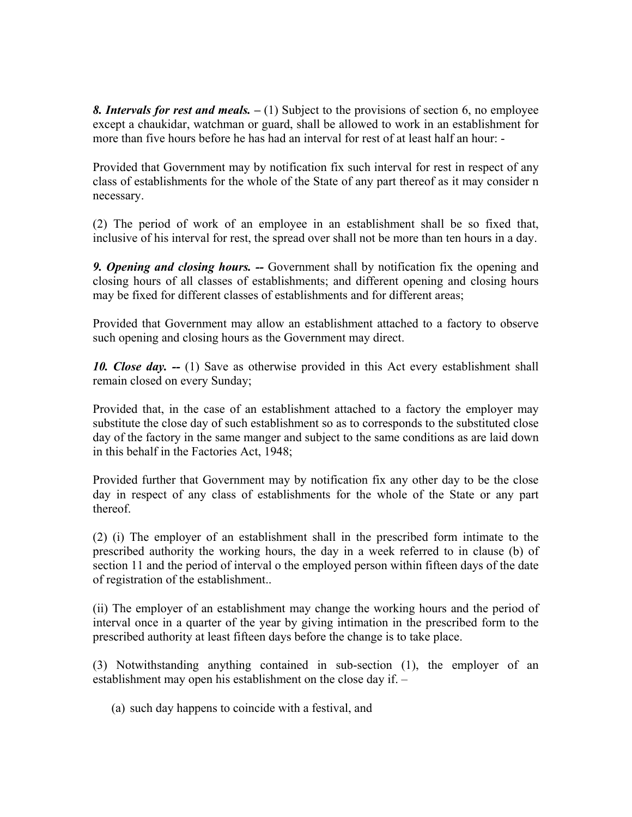*8. Intervals for rest and meals. –* (1) Subject to the provisions of section 6, no employee except a chaukidar, watchman or guard, shall be allowed to work in an establishment for more than five hours before he has had an interval for rest of at least half an hour: -

Provided that Government may by notification fix such interval for rest in respect of any class of establishments for the whole of the State of any part thereof as it may consider n necessary.

(2) The period of work of an employee in an establishment shall be so fixed that, inclusive of his interval for rest, the spread over shall not be more than ten hours in a day.

*9. Opening and closing hours. --* Government shall by notification fix the opening and closing hours of all classes of establishments; and different opening and closing hours may be fixed for different classes of establishments and for different areas;

Provided that Government may allow an establishment attached to a factory to observe such opening and closing hours as the Government may direct.

*10. Close day. --* (1) Save as otherwise provided in this Act every establishment shall remain closed on every Sunday;

Provided that, in the case of an establishment attached to a factory the employer may substitute the close day of such establishment so as to corresponds to the substituted close day of the factory in the same manger and subject to the same conditions as are laid down in this behalf in the Factories Act, 1948;

Provided further that Government may by notification fix any other day to be the close day in respect of any class of establishments for the whole of the State or any part thereof.

(2) (i) The employer of an establishment shall in the prescribed form intimate to the prescribed authority the working hours, the day in a week referred to in clause (b) of section 11 and the period of interval o the employed person within fifteen days of the date of registration of the establishment..

(ii) The employer of an establishment may change the working hours and the period of interval once in a quarter of the year by giving intimation in the prescribed form to the prescribed authority at least fifteen days before the change is to take place.

(3) Notwithstanding anything contained in sub-section (1), the employer of an establishment may open his establishment on the close day if. –

(a) such day happens to coincide with a festival, and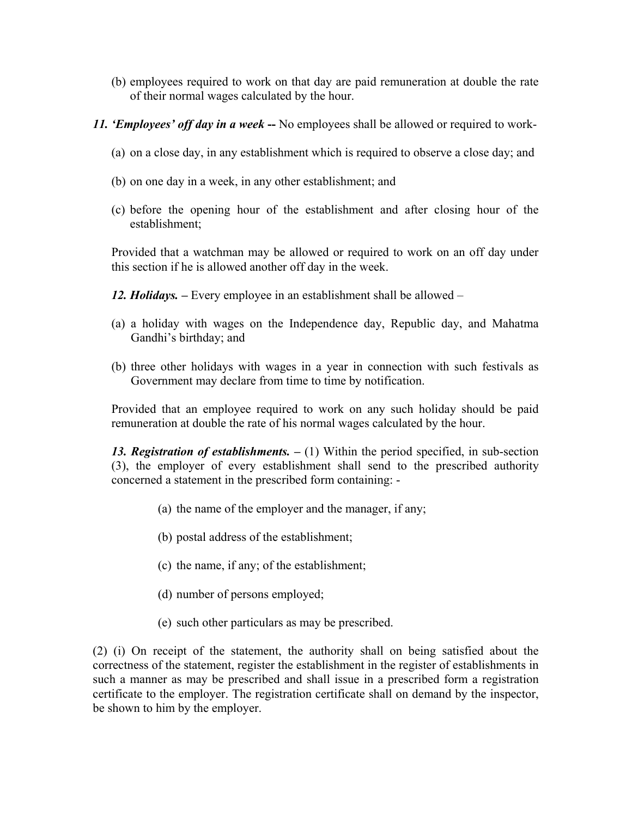- (b) employees required to work on that day are paid remuneration at double the rate of their normal wages calculated by the hour.
- *11. 'Employees' off day in a week* **--** No employees shall be allowed or required to work-
	- (a) on a close day, in any establishment which is required to observe a close day; and
	- (b) on one day in a week, in any other establishment; and
	- (c) before the opening hour of the establishment and after closing hour of the establishment;

Provided that a watchman may be allowed or required to work on an off day under this section if he is allowed another off day in the week.

- *12. Holidays.* Every employee in an establishment shall be allowed –
- (a) a holiday with wages on the Independence day, Republic day, and Mahatma Gandhi's birthday; and
- (b) three other holidays with wages in a year in connection with such festivals as Government may declare from time to time by notification.

Provided that an employee required to work on any such holiday should be paid remuneration at double the rate of his normal wages calculated by the hour.

*13. Registration of establishments. –* (1) Within the period specified, in sub-section (3), the employer of every establishment shall send to the prescribed authority concerned a statement in the prescribed form containing: -

- (a) the name of the employer and the manager, if any;
- (b) postal address of the establishment;
- (c) the name, if any; of the establishment;
- (d) number of persons employed;
- (e) such other particulars as may be prescribed.

(2) (i) On receipt of the statement, the authority shall on being satisfied about the correctness of the statement, register the establishment in the register of establishments in such a manner as may be prescribed and shall issue in a prescribed form a registration certificate to the employer. The registration certificate shall on demand by the inspector, be shown to him by the employer.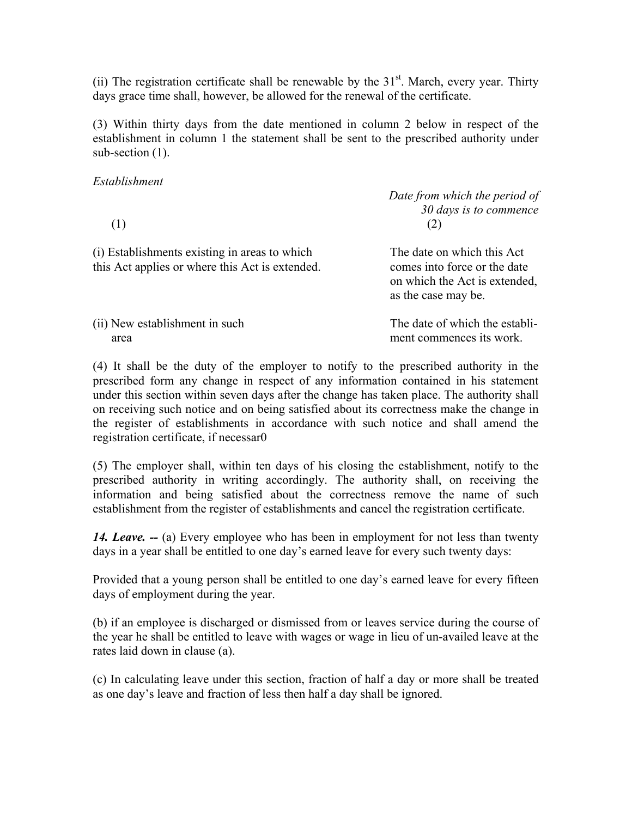(ii) The registration certificate shall be renewable by the  $31<sup>st</sup>$ . March, every year. Thirty days grace time shall, however, be allowed for the renewal of the certificate.

(3) Within thirty days from the date mentioned in column 2 below in respect of the establishment in column 1 the statement shall be sent to the prescribed authority under sub-section  $(1)$ .

## *Establishment*

*Date from which the period of 30 days is to commence*   $(1)$  (2) (i) Establishments existing in areas to which The date on which this Act this Act applies or where this Act is extended. comes into force or the date on which the Act is extended, as the case may be.

(ii) New establishment in such The date of which the establiarea ment commences its work.

(4) It shall be the duty of the employer to notify to the prescribed authority in the prescribed form any change in respect of any information contained in his statement under this section within seven days after the change has taken place. The authority shall on receiving such notice and on being satisfied about its correctness make the change in the register of establishments in accordance with such notice and shall amend the registration certificate, if necessar0

(5) The employer shall, within ten days of his closing the establishment, notify to the prescribed authority in writing accordingly. The authority shall, on receiving the information and being satisfied about the correctness remove the name of such establishment from the register of establishments and cancel the registration certificate.

*14. Leave.* -- (a) Every employee who has been in employment for not less than twenty days in a year shall be entitled to one day's earned leave for every such twenty days:

Provided that a young person shall be entitled to one day's earned leave for every fifteen days of employment during the year.

(b) if an employee is discharged or dismissed from or leaves service during the course of the year he shall be entitled to leave with wages or wage in lieu of un-availed leave at the rates laid down in clause (a).

(c) In calculating leave under this section, fraction of half a day or more shall be treated as one day's leave and fraction of less then half a day shall be ignored.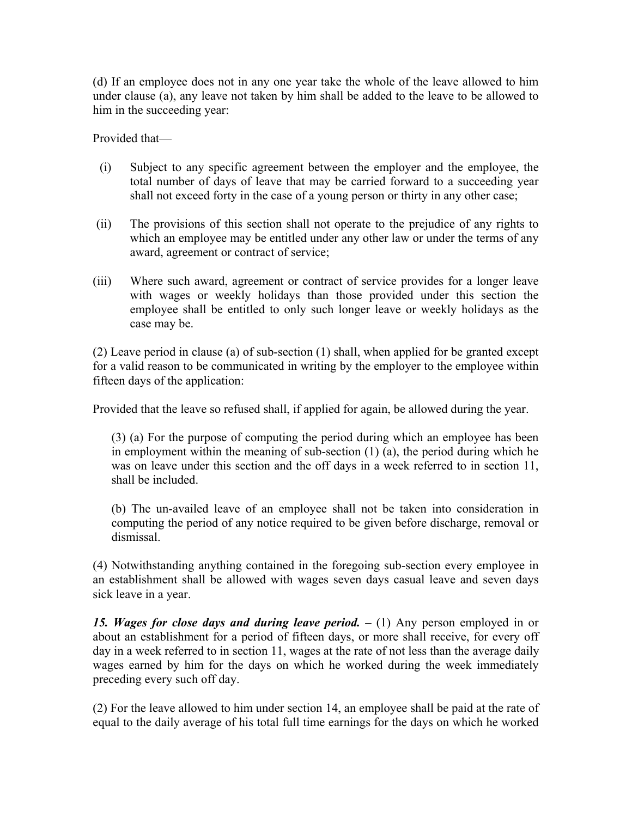(d) If an employee does not in any one year take the whole of the leave allowed to him under clause (a), any leave not taken by him shall be added to the leave to be allowed to him in the succeeding year:

Provided that—

- (i) Subject to any specific agreement between the employer and the employee, the total number of days of leave that may be carried forward to a succeeding year shall not exceed forty in the case of a young person or thirty in any other case;
- (ii) The provisions of this section shall not operate to the prejudice of any rights to which an employee may be entitled under any other law or under the terms of any award, agreement or contract of service;
- (iii) Where such award, agreement or contract of service provides for a longer leave with wages or weekly holidays than those provided under this section the employee shall be entitled to only such longer leave or weekly holidays as the case may be.

(2) Leave period in clause (a) of sub-section (1) shall, when applied for be granted except for a valid reason to be communicated in writing by the employer to the employee within fifteen days of the application:

Provided that the leave so refused shall, if applied for again, be allowed during the year.

(3) (a) For the purpose of computing the period during which an employee has been in employment within the meaning of sub-section (1) (a), the period during which he was on leave under this section and the off days in a week referred to in section 11, shall be included.

(b) The un-availed leave of an employee shall not be taken into consideration in computing the period of any notice required to be given before discharge, removal or dismissal.

(4) Notwithstanding anything contained in the foregoing sub-section every employee in an establishment shall be allowed with wages seven days casual leave and seven days sick leave in a year.

15. Wages for close days and during leave period.  $- (1)$  Any person employed in or about an establishment for a period of fifteen days, or more shall receive, for every off day in a week referred to in section 11, wages at the rate of not less than the average daily wages earned by him for the days on which he worked during the week immediately preceding every such off day.

(2) For the leave allowed to him under section 14, an employee shall be paid at the rate of equal to the daily average of his total full time earnings for the days on which he worked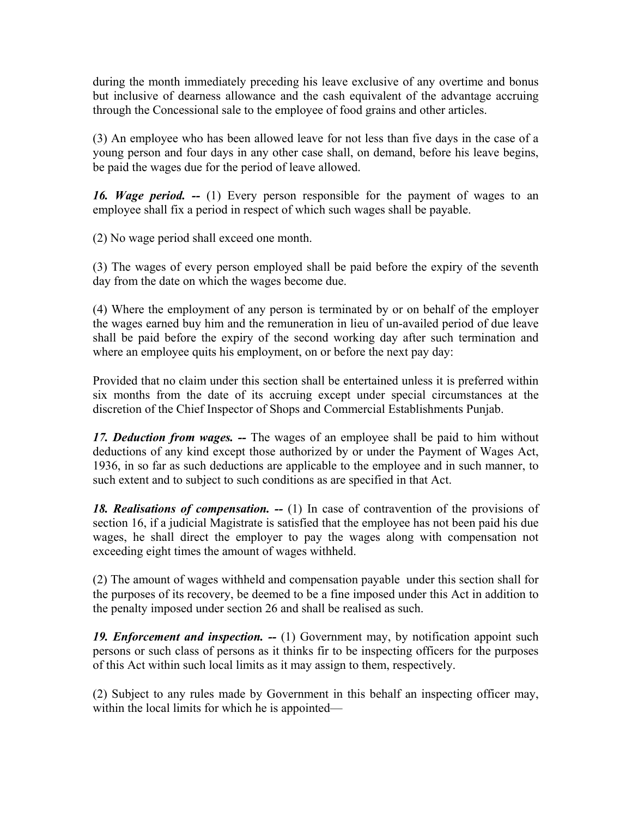during the month immediately preceding his leave exclusive of any overtime and bonus but inclusive of dearness allowance and the cash equivalent of the advantage accruing through the Concessional sale to the employee of food grains and other articles.

(3) An employee who has been allowed leave for not less than five days in the case of a young person and four days in any other case shall, on demand, before his leave begins, be paid the wages due for the period of leave allowed.

*16. Wage period. --* (1) Every person responsible for the payment of wages to an employee shall fix a period in respect of which such wages shall be payable.

(2) No wage period shall exceed one month.

(3) The wages of every person employed shall be paid before the expiry of the seventh day from the date on which the wages become due.

(4) Where the employment of any person is terminated by or on behalf of the employer the wages earned buy him and the remuneration in lieu of un-availed period of due leave shall be paid before the expiry of the second working day after such termination and where an employee quits his employment, on or before the next pay day:

Provided that no claim under this section shall be entertained unless it is preferred within six months from the date of its accruing except under special circumstances at the discretion of the Chief Inspector of Shops and Commercial Establishments Punjab.

*17. Deduction from wages. --* The wages of an employee shall be paid to him without deductions of any kind except those authorized by or under the Payment of Wages Act, 1936, in so far as such deductions are applicable to the employee and in such manner, to such extent and to subject to such conditions as are specified in that Act.

*18. Realisations of compensation. --* (1) In case of contravention of the provisions of section 16, if a judicial Magistrate is satisfied that the employee has not been paid his due wages, he shall direct the employer to pay the wages along with compensation not exceeding eight times the amount of wages withheld.

(2) The amount of wages withheld and compensation payable under this section shall for the purposes of its recovery, be deemed to be a fine imposed under this Act in addition to the penalty imposed under section 26 and shall be realised as such.

*19. Enforcement and inspection. --* (1) Government may, by notification appoint such persons or such class of persons as it thinks fir to be inspecting officers for the purposes of this Act within such local limits as it may assign to them, respectively.

(2) Subject to any rules made by Government in this behalf an inspecting officer may, within the local limits for which he is appointed—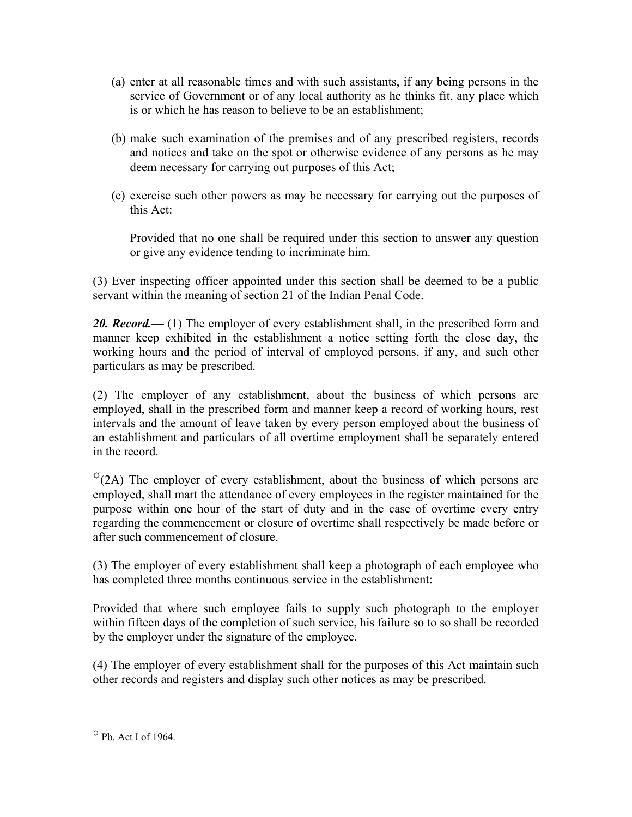- (a) enter at all reasonable times and with such assistants, if any being persons in the service of Government or of any local authority as he thinks fit, any place which is or which he has reason to believe to be an establishment;
- (b) make such examination of the premises and of any prescribed registers, records and notices and take on the spot or otherwise evidence of any persons as he may deem necessary for carrying out purposes of this Act;
- (c) exercise such other powers as may be necessary for carrying out the purposes of this Act:

Provided that no one shall be required under this section to answer any question or give any evidence tending to incriminate him.

(3) Ever inspecting officer appointed under this section shall be deemed to be a public servant within the meaning of section 21 of the Indian Penal Code.

20. Record.— (1) The employer of every establishment shall, in the prescribed form and manner keep exhibited in the establishment a notice setting forth the close day, the working hours and the period of interval of employed persons, if any, and such other particulars as may be prescribed.

(2) The employer of any establishment, about the business of which persons are employed, shall in the prescribed form and manner keep a record of working hours, rest intervals and the amount of leave taken by every person employed about the business of an establishment and particulars of all overtime employment shall be separately entered in the record.

 $\sqrt[\infty]{2}$  (2A) The employer of every establishment, about the business of which persons are employed, shall mart the attendance of every employees in the register maintained for the purpose within one hour of the start of duty and in the case of overtime every entry regarding the commencement or closure of overtime shall respectively be made before or after such commencement of closure.

(3) The employer of every establishment shall keep a photograph of each employee who has completed three months continuous service in the establishment:

Provided that where such employee fails to supply such photograph to the employer within fifteen days of the completion of such service, his failure so to so shall be recorded by the employer under the signature of the employee.

(4) The employer of every establishment shall for the purposes of this Act maintain such other records and registers and display such other notices as may be prescribed.

<sup>&</sup>lt;u>.</u>  $\stackrel{\leftrightarrow}{\sim}$  Pb. Act I of 1964.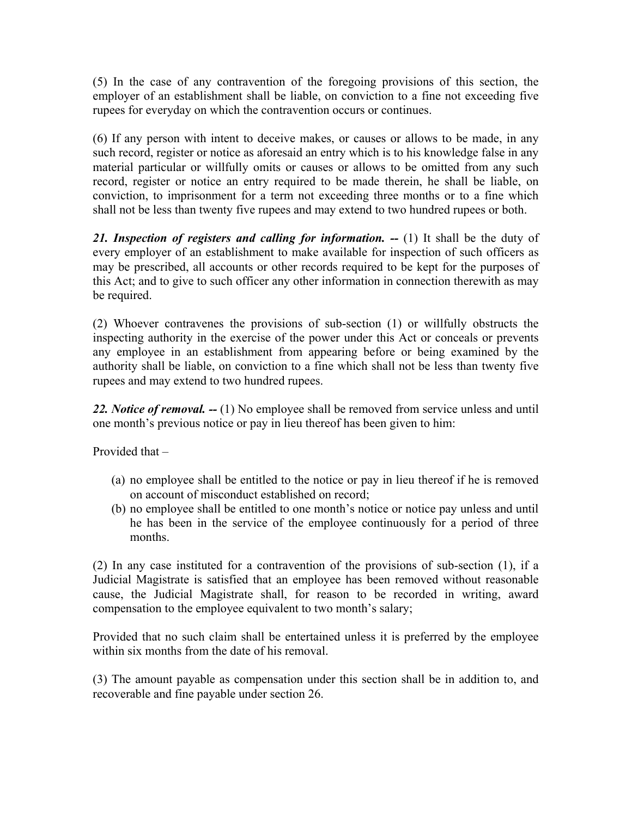(5) In the case of any contravention of the foregoing provisions of this section, the employer of an establishment shall be liable, on conviction to a fine not exceeding five rupees for everyday on which the contravention occurs or continues.

(6) If any person with intent to deceive makes, or causes or allows to be made, in any such record, register or notice as aforesaid an entry which is to his knowledge false in any material particular or willfully omits or causes or allows to be omitted from any such record, register or notice an entry required to be made therein, he shall be liable, on conviction, to imprisonment for a term not exceeding three months or to a fine which shall not be less than twenty five rupees and may extend to two hundred rupees or both.

21. Inspection of registers and calling for information. -- (1) It shall be the duty of every employer of an establishment to make available for inspection of such officers as may be prescribed, all accounts or other records required to be kept for the purposes of this Act; and to give to such officer any other information in connection therewith as may be required.

(2) Whoever contravenes the provisions of sub-section (1) or willfully obstructs the inspecting authority in the exercise of the power under this Act or conceals or prevents any employee in an establishment from appearing before or being examined by the authority shall be liable, on conviction to a fine which shall not be less than twenty five rupees and may extend to two hundred rupees.

*22. Notice of removal. --* (1) No employee shall be removed from service unless and until one month's previous notice or pay in lieu thereof has been given to him:

Provided that –

- (a) no employee shall be entitled to the notice or pay in lieu thereof if he is removed on account of misconduct established on record;
- (b) no employee shall be entitled to one month's notice or notice pay unless and until he has been in the service of the employee continuously for a period of three months.

(2) In any case instituted for a contravention of the provisions of sub-section (1), if a Judicial Magistrate is satisfied that an employee has been removed without reasonable cause, the Judicial Magistrate shall, for reason to be recorded in writing, award compensation to the employee equivalent to two month's salary;

Provided that no such claim shall be entertained unless it is preferred by the employee within six months from the date of his removal.

(3) The amount payable as compensation under this section shall be in addition to, and recoverable and fine payable under section 26.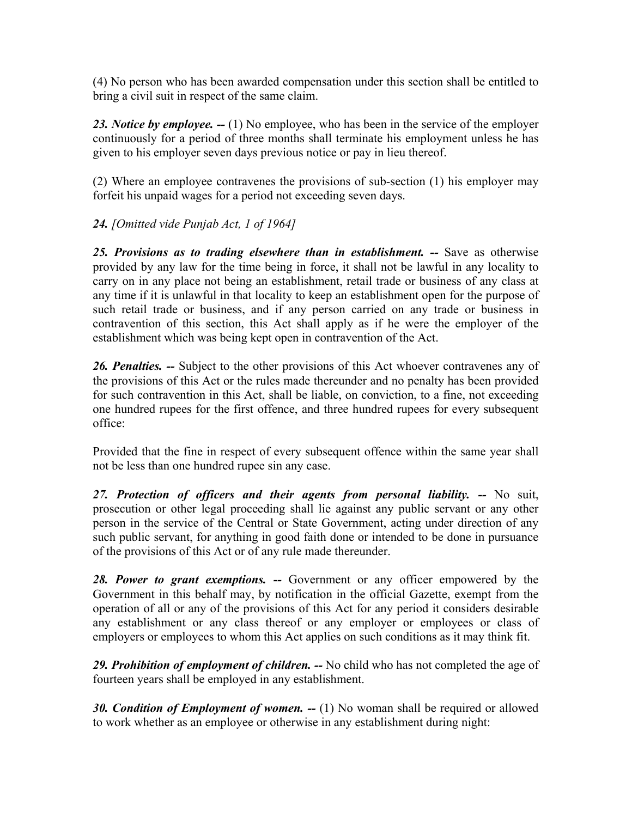(4) No person who has been awarded compensation under this section shall be entitled to bring a civil suit in respect of the same claim.

*23. Notice by employee. --* (1) No employee, who has been in the service of the employer continuously for a period of three months shall terminate his employment unless he has given to his employer seven days previous notice or pay in lieu thereof.

(2) Where an employee contravenes the provisions of sub-section (1) his employer may forfeit his unpaid wages for a period not exceeding seven days.

# *24. [Omitted vide Punjab Act, 1 of 1964]*

*25. Provisions as to trading elsewhere than in establishment. --* Save as otherwise provided by any law for the time being in force, it shall not be lawful in any locality to carry on in any place not being an establishment, retail trade or business of any class at any time if it is unlawful in that locality to keep an establishment open for the purpose of such retail trade or business, and if any person carried on any trade or business in contravention of this section, this Act shall apply as if he were the employer of the establishment which was being kept open in contravention of the Act.

*26. Penalties. --* Subject to the other provisions of this Act whoever contravenes any of the provisions of this Act or the rules made thereunder and no penalty has been provided for such contravention in this Act, shall be liable, on conviction, to a fine, not exceeding one hundred rupees for the first offence, and three hundred rupees for every subsequent office:

Provided that the fine in respect of every subsequent offence within the same year shall not be less than one hundred rupee sin any case.

*27. Protection of officers and their agents from personal liability. --* No suit, prosecution or other legal proceeding shall lie against any public servant or any other person in the service of the Central or State Government, acting under direction of any such public servant, for anything in good faith done or intended to be done in pursuance of the provisions of this Act or of any rule made thereunder.

*28. Power to grant exemptions. --* Government or any officer empowered by the Government in this behalf may, by notification in the official Gazette, exempt from the operation of all or any of the provisions of this Act for any period it considers desirable any establishment or any class thereof or any employer or employees or class of employers or employees to whom this Act applies on such conditions as it may think fit.

*29. Prohibition of employment of children. --* No child who has not completed the age of fourteen years shall be employed in any establishment.

*30. Condition of Employment of women. --* (1) No woman shall be required or allowed to work whether as an employee or otherwise in any establishment during night: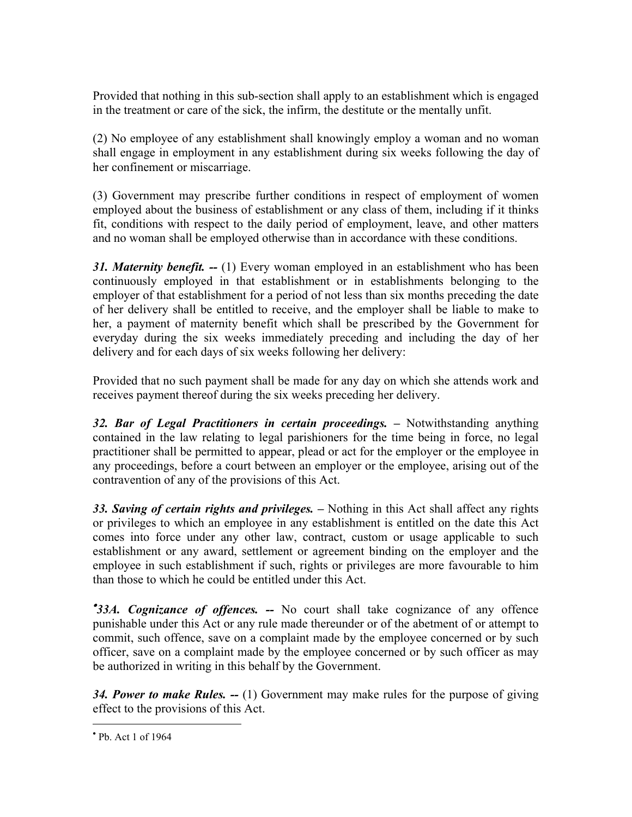Provided that nothing in this sub-section shall apply to an establishment which is engaged in the treatment or care of the sick, the infirm, the destitute or the mentally unfit.

(2) No employee of any establishment shall knowingly employ a woman and no woman shall engage in employment in any establishment during six weeks following the day of her confinement or miscarriage.

(3) Government may prescribe further conditions in respect of employment of women employed about the business of establishment or any class of them, including if it thinks fit, conditions with respect to the daily period of employment, leave, and other matters and no woman shall be employed otherwise than in accordance with these conditions.

*31. Maternity benefit. --* (1) Every woman employed in an establishment who has been continuously employed in that establishment or in establishments belonging to the employer of that establishment for a period of not less than six months preceding the date of her delivery shall be entitled to receive, and the employer shall be liable to make to her, a payment of maternity benefit which shall be prescribed by the Government for everyday during the six weeks immediately preceding and including the day of her delivery and for each days of six weeks following her delivery:

Provided that no such payment shall be made for any day on which she attends work and receives payment thereof during the six weeks preceding her delivery.

32. Bar of Legal Practitioners in certain proceedings. – Notwithstanding anything contained in the law relating to legal parishioners for the time being in force, no legal practitioner shall be permitted to appear, plead or act for the employer or the employee in any proceedings, before a court between an employer or the employee, arising out of the contravention of any of the provisions of this Act.

*33. Saving of certain rights and privileges. –* Nothing in this Act shall affect any rights or privileges to which an employee in any establishment is entitled on the date this Act comes into force under any other law, contract, custom or usage applicable to such establishment or any award, settlement or agreement binding on the employer and the employee in such establishment if such, rights or privileges are more favourable to him than those to which he could be entitled under this Act.

**33A.** Cognizance of offences. -- No court shall take cognizance of any offence punishable under this Act or any rule made thereunder or of the abetment of or attempt to commit, such offence, save on a complaint made by the employee concerned or by such officer, save on a complaint made by the employee concerned or by such officer as may be authorized in writing in this behalf by the Government.

*34. Power to make Rules. --* (1) Government may make rules for the purpose of giving effect to the provisions of this Act.

 $\overline{a}$ 

<sup>•</sup> Pb. Act 1 of 1964